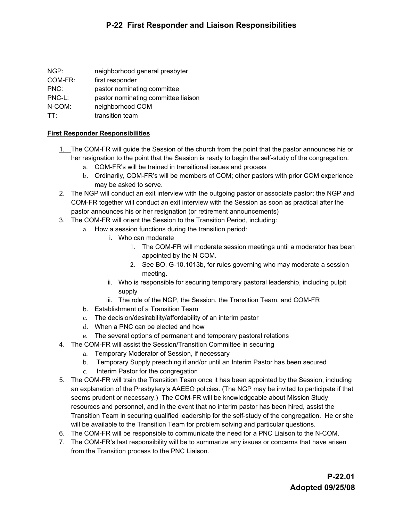## **P-22 First Responder and Liaison Responsibilities**

| NGP:    | neighborhood general presbyter      |
|---------|-------------------------------------|
| COM-FR: | first responder                     |
| PNC:    | pastor nominating committee         |
| PNC-L:  | pastor nominating committee liaison |
| N-COM:  | neighborhood COM                    |
| TT:     | transition team                     |

## **First Responder Responsibilities**

- 1. The COM-FR will guide the Session of the church from the point that the pastor announces his or her resignation to the point that the Session is ready to begin the self-study of the congregation.
	- a. COM-FR's will be trained in transitional issues and process
	- b. Ordinarily, COM-FR's will be members of COM; other pastors with prior COM experience may be asked to serve.
- 2. The NGP will conduct an exit interview with the outgoing pastor or associate pastor; the NGP and COM-FR together will conduct an exit interview with the Session as soon as practical after the pastor announces his or her resignation (or retirement announcements)
- 3. The COM-FR will orient the Session to the Transition Period, including:
	- a. How a session functions during the transition period:
		- i. Who can moderate
			- 1. The COM-FR will moderate session meetings until a moderator has been appointed by the N-COM.
			- 2. See BO, G-10.1013b, for rules governing who may moderate a session meeting.
		- ii. Who is responsible for securing temporary pastoral leadership, including pulpit supply
		- iii. The role of the NGP, the Session, the Transition Team, and COM-FR
	- b. Establishment of a Transition Team
	- c. The decision/desirability/affordability of an interim pastor
	- d. When a PNC can be elected and how
	- e. The several options of permanent and temporary pastoral relations
- 4. The COM-FR will assist the Session/Transition Committee in securing
	- a. Temporary Moderator of Session, if necessary
	- b. Temporary Supply preaching if and/or until an Interim Pastor has been secured
	- c. Interim Pastor for the congregation
- 5. The COM-FR will train the Transition Team once it has been appointed by the Session, including an explanation of the Presbytery's AAEEO policies. (The NGP may be invited to participate if that seems prudent or necessary.) The COM-FR will be knowledgeable about Mission Study resources and personnel, and in the event that no interim pastor has been hired, assist the Transition Team in securing qualified leadership for the self-study of the congregation. He or she will be available to the Transition Team for problem solving and particular questions.
- 6. The COM-FR will be responsible to communicate the need for a PNC Liaison to the N-COM.
- 7. The COM-FR's last responsibility will be to summarize any issues or concerns that have arisen from the Transition process to the PNC Liaison.